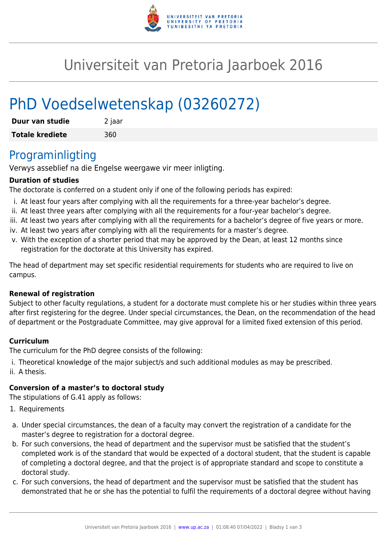

## Universiteit van Pretoria Jaarboek 2016

# PhD Voedselwetenskap (03260272)

| Duur van studie        | 2 jaar |
|------------------------|--------|
| <b>Totale krediete</b> | 360    |

## Programinligting

Verwys asseblief na die Engelse weergawe vir meer inligting.

#### **Duration of studies**

The doctorate is conferred on a student only if one of the following periods has expired:

- i. At least four years after complying with all the requirements for a three-year bachelor's degree.
- ii. At least three years after complying with all the requirements for a four-year bachelor's degree.
- iii. At least two years after complying with all the requirements for a bachelor's degree of five years or more.
- iv. At least two years after complying with all the requirements for a master's degree.
- v. With the exception of a shorter period that may be approved by the Dean, at least 12 months since registration for the doctorate at this University has expired.

The head of department may set specific residential requirements for students who are required to live on campus.

#### **Renewal of registration**

Subject to other faculty regulations, a student for a doctorate must complete his or her studies within three years after first registering for the degree. Under special circumstances, the Dean, on the recommendation of the head of department or the Postgraduate Committee, may give approval for a limited fixed extension of this period.

#### **Curriculum**

The curriculum for the PhD degree consists of the following:

- i. Theoretical knowledge of the major subject/s and such additional modules as may be prescribed.
- ii. A thesis.

#### **Conversion of a master's to doctoral study**

The stipulations of G.41 apply as follows:

- 1. Requirements
- a. Under special circumstances, the dean of a faculty may convert the registration of a candidate for the master's degree to registration for a doctoral degree.
- b. For such conversions, the head of department and the supervisor must be satisfied that the student's completed work is of the standard that would be expected of a doctoral student, that the student is capable of completing a doctoral degree, and that the project is of appropriate standard and scope to constitute a doctoral study.
- c. For such conversions, the head of department and the supervisor must be satisfied that the student has demonstrated that he or she has the potential to fulfil the requirements of a doctoral degree without having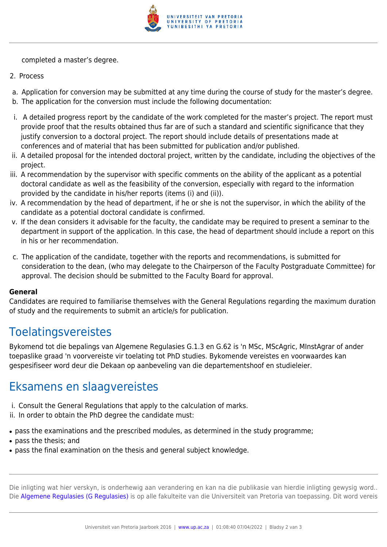

completed a master's degree.

- 2. Process
- a. Application for conversion may be submitted at any time during the course of study for the master's degree.
- b. The application for the conversion must include the following documentation:
- i. A detailed progress report by the candidate of the work completed for the master's project. The report must provide proof that the results obtained thus far are of such a standard and scientific significance that they justify conversion to a doctoral project. The report should include details of presentations made at conferences and of material that has been submitted for publication and/or published.
- ii. A detailed proposal for the intended doctoral project, written by the candidate, including the objectives of the project.
- iii. A recommendation by the supervisor with specific comments on the ability of the applicant as a potential doctoral candidate as well as the feasibility of the conversion, especially with regard to the information provided by the candidate in his/her reports (items (i) and (ii)).
- iv. A recommendation by the head of department, if he or she is not the supervisor, in which the ability of the candidate as a potential doctoral candidate is confirmed.
- v. If the dean considers it advisable for the faculty, the candidate may be required to present a seminar to the department in support of the application. In this case, the head of department should include a report on this in his or her recommendation.
- c. The application of the candidate, together with the reports and recommendations, is submitted for consideration to the dean, (who may delegate to the Chairperson of the Faculty Postgraduate Committee) for approval. The decision should be submitted to the Faculty Board for approval.

#### **General**

Candidates are required to familiarise themselves with the General Regulations regarding the maximum duration of study and the requirements to submit an article/s for publication.

## **Toelatingsvereistes**

Bykomend tot die bepalings van Algemene Regulasies G.1.3 en G.62 is 'n MSc, MScAgric, MInstAgrar of ander toepaslike graad 'n voorvereiste vir toelating tot PhD studies. Bykomende vereistes en voorwaardes kan gespesifiseer word deur die Dekaan op aanbeveling van die departementshoof en studieleier.

## Eksamens en slaagvereistes

- i. Consult the General Regulations that apply to the calculation of marks.
- ii. In order to obtain the PhD degree the candidate must:
- pass the examinations and the prescribed modules, as determined in the study programme;
- pass the thesis; and
- pass the final examination on the thesis and general subject knowledge.

Die inligting wat hier verskyn, is onderhewig aan verandering en kan na die publikasie van hierdie inligting gewysig word.. Die [Algemene Regulasies \(G Regulasies\)](https://www.up.ac.za/faculty-of-education/yearbooks/2016/rules/view/REG/lg/af) is op alle fakulteite van die Universiteit van Pretoria van toepassing. Dit word vereis